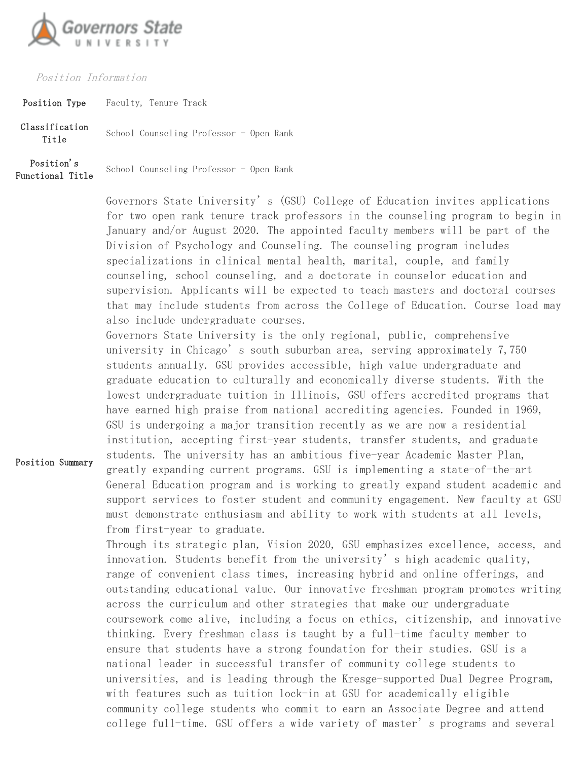

## Position Information

Position Summary

Position Type Faculty, Tenure Track

Classification siilcation School Counseling Professor - Open Rank Position's Functional Title School Counseling Professor - Open Rank

> Governors State University's (GSU) College of Education invites applications for two open rank tenure track professors in the counseling program to begin in January and/or August 2020. The appointed faculty members will be part of the Division of Psychology and Counseling. The counseling program includes specializations in clinical mental health, marital, couple, and family counseling, school counseling, and a doctorate in counselor education and supervision. Applicants will be expected to teach masters and doctoral courses that may include students from across the College of Education. Course load may also include undergraduate courses.

Governors State University is the only regional, public, comprehensive university in Chicago's south suburban area, serving approximately 7,750 students annually. GSU provides accessible, high value undergraduate and graduate education to culturally and economically diverse students. With the lowest undergraduate tuition in Illinois, GSU offers accredited programs that have earned high praise from national accrediting agencies. Founded in 1969, GSU is undergoing a major transition recently as we are now a residential institution, accepting first-year students, transfer students, and graduate students. The university has an ambitious five-year Academic Master Plan, greatly expanding current programs. GSU is implementing a state-of-the-art General Education program and is working to greatly expand student academic and support services to foster student and community engagement. New faculty at GSU must demonstrate enthusiasm and ability to work with students at all levels, from first-year to graduate.

Through its strategic plan, Vision 2020, GSU emphasizes excellence, access, and innovation. Students benefit from the university's high academic quality, range of convenient class times, increasing hybrid and online offerings, and outstanding educational value. Our innovative freshman program promotes writing across the curriculum and other strategies that make our undergraduate coursework come alive, including a focus on ethics, citizenship, and innovative thinking. Every freshman class is taught by a full-time faculty member to ensure that students have a strong foundation for their studies. GSU is a national leader in successful transfer of community college students to universities, and is leading through the Kresge-supported Dual Degree Program, with features such as tuition lock-in at GSU for academically eligible community college students who commit to earn an Associate Degree and attend college full-time. GSU offers a wide variety of master's programs and several